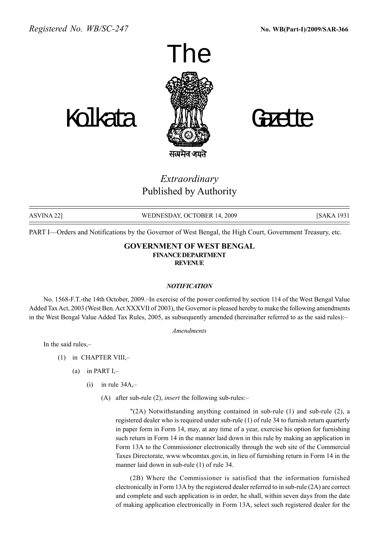



Extraordinary Published by Authority

ASVINA 22] WEDNESDAY, OCTOBER 14, 2009 [SAKA 1931

PART I—Orders and Notifications by the Governor of West Bengal, the High Court, Government Treasury, etc.

#### GOVERNMENT OF WEST BENGAL FINANCEDEPARTMENT **REVENUE**

#### **NOTIFICATION**

No. 1568-F.T.-the 14th October, 2009.–In exercise of the power conferred by section 114 of the West Bengal Value Added Tax Act, 2003 (West Ben. Act XXXVII of 2003), the Governor is pleased hereby to make the following amendments in the West Bengal Value Added Tax Rules, 2005, as subsequently amended (hereinafter referred to as the said rules):

Amendments

In the said rules,

- (1) in CHAPTER VIII, $-$ 
	- (a) in PART  $I$ ,-
		- (i) in rule  $34A$ , $-$ 
			- (A) after sub-rule (2), *insert* the following sub-rules:-

"(2A) Notwithstanding anything contained in sub-rule (1) and sub-rule (2), a registered dealer who is required under sub-rule (1) of rule 34 to furnish return quarterly in paper form in Form 14, may, at any time of a year, exercise his option for furnishing such return in Form 14 in the manner laid down in this rule by making an application in Form 13A to the Commissioner electronically through the web site of the Commercial Taxes Directorate, www.wbcomtax.gov.in, in lieu of furnishing return in Form 14 in the manner laid down in sub-rule (1) of rule 34.

(2B) Where the Commissioner is satisfied that the information furnished electronically in Form 13A by the registered dealer referred to in sub-rule (2A) are correct and complete and such application is in order, he shall, within seven days from the date of making application electronically in Form 13A, select such registered dealer for the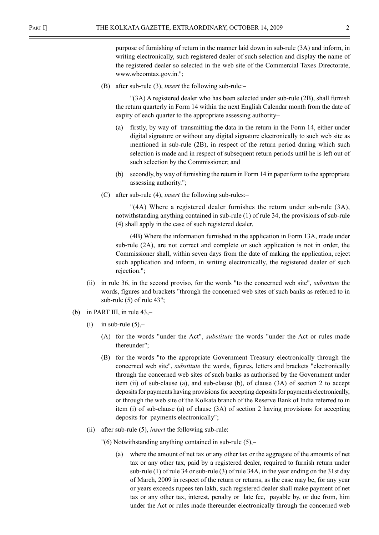purpose of furnishing of return in the manner laid down in sub-rule (3A) and inform, in writing electronically, such registered dealer of such selection and display the name of the registered dealer so selected in the web site of the Commercial Taxes Directorate, www.wbcomtax.gov.in.";

(B) after sub-rule (3), *insert* the following sub-rule: $-$ 

"(3A) A registered dealer who has been selected under sub-rule (2B), shall furnish the return quarterly in Form 14 within the next English Calendar month from the date of expiry of each quarter to the appropriate assessing authority–

- (a) firstly, by way of transmitting the data in the return in the Form 14, either under digital signature or without any digital signature electronically to such web site as mentioned in sub-rule (2B), in respect of the return period during which such selection is made and in respect of subsequent return periods until he is left out of such selection by the Commissioner; and
- (b) secondly, by way of furnishing the return in Form 14 in paper form to the appropriate assessing authority.";
- (C) after sub-rule (4), *insert* the following sub-rules: $-$

"(4A) Where a registered dealer furnishes the return under sub-rule (3A), notwithstanding anything contained in sub-rule (1) of rule 34, the provisions of sub-rule (4) shall apply in the case of such registered dealer.

(4B) Where the information furnished in the application in Form 13A, made under sub-rule (2A), are not correct and complete or such application is not in order, the Commissioner shall, within seven days from the date of making the application, reject such application and inform, in writing electronically, the registered dealer of such rejection.";

- (ii) in rule 36, in the second proviso, for the words "to the concerned web site", substitute the words, figures and brackets "through the concerned web sites of such banks as referred to in sub-rule (5) of rule 43";
- (b) in PART III, in rule  $43$ ,-
	- (i) in sub-rule  $(5)$ ,-
		- (A) for the words "under the Act", substitute the words "under the Act or rules made thereunder";
		- (B) for the words "to the appropriate Government Treasury electronically through the concerned web site", substitute the words, figures, letters and brackets "electronically through the concerned web sites of such banks as authorised by the Government under item (ii) of sub-clause (a), and sub-clause (b), of clause (3A) of section 2 to accept deposits for payments having provisions for accepting deposits for payments electronically, or through the web site of the Kolkata branch of the Reserve Bank of India referred to in item (i) of sub-clause (a) of clause (3A) of section 2 having provisions for accepting deposits for payments electronically";
	- (ii) after sub-rule  $(5)$ , *insert* the following sub-rule:
		- $"(6)$  Notwithstanding anything contained in sub-rule  $(5)$ ,-
			- (a) where the amount of net tax or any other tax or the aggregate of the amounts of net tax or any other tax, paid by a registered dealer, required to furnish return under sub-rule (1) of rule 34 or sub-rule (3) of rule 34A, in the year ending on the 31st day of March, 2009 in respect of the return or returns, as the case may be, for any year or years exceeds rupees ten lakh, such registered dealer shall make payment of net tax or any other tax, interest, penalty or late fee, payable by, or due from, him under the Act or rules made thereunder electronically through the concerned web